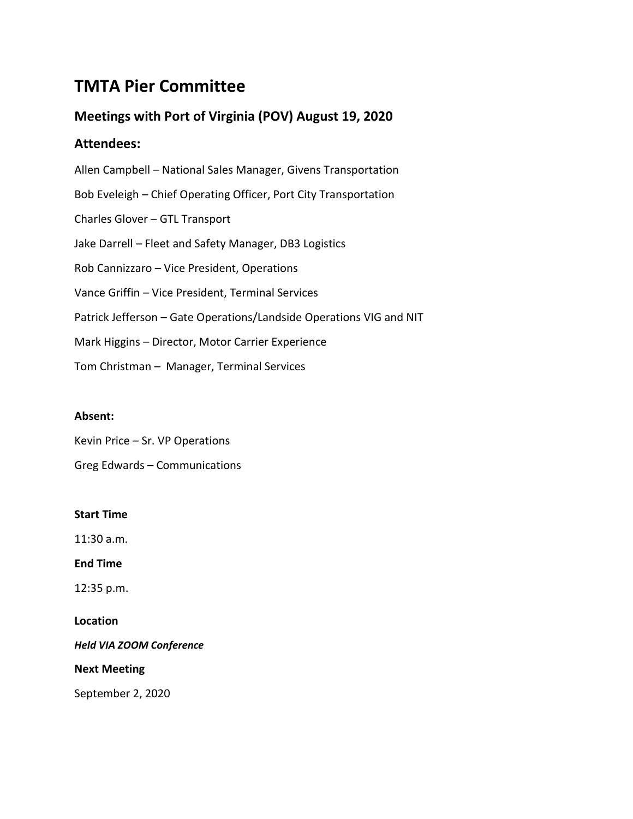# **TMTA Pier Committee**

# **Meetings with Port of Virginia (POV) August 19, 2020**

## **Attendees:**

Allen Campbell – National Sales Manager, Givens Transportation Bob Eveleigh – Chief Operating Officer, Port City Transportation Charles Glover – GTL Transport Jake Darrell – Fleet and Safety Manager, DB3 Logistics Rob Cannizzaro – Vice President, Operations Vance Griffin – Vice President, Terminal Services Patrick Jefferson – Gate Operations/Landside Operations VIG and NIT Mark Higgins – Director, Motor Carrier Experience Tom Christman – Manager, Terminal Services

### **Absent:**

Kevin Price – Sr. VP Operations

Greg Edwards – Communications

### **Start Time**

11:30 a.m.

**End Time**

12:35 p.m.

**Location**

*Held VIA ZOOM Conference*

**Next Meeting**

September 2, 2020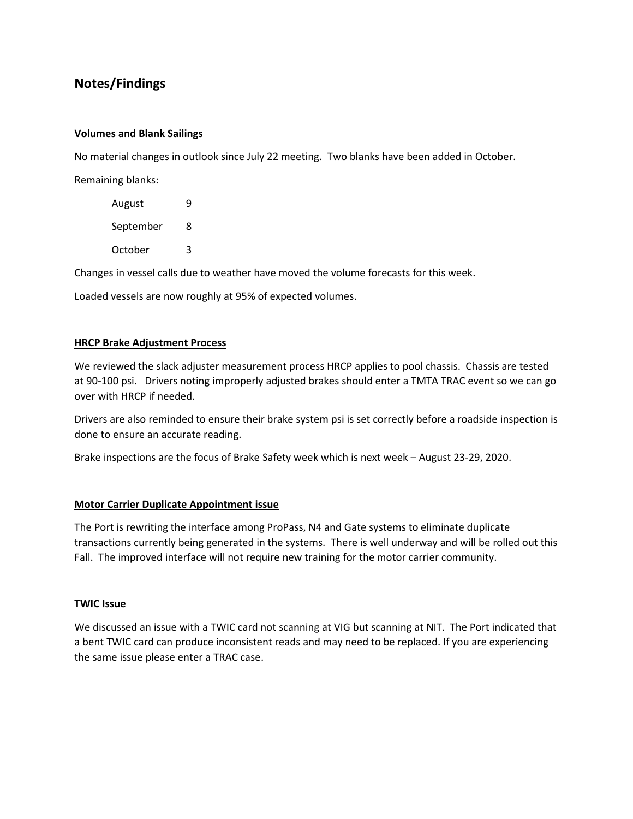## **Notes/Findings**

#### **Volumes and Blank Sailings**

No material changes in outlook since July 22 meeting. Two blanks have been added in October.

Remaining blanks:

| August    | 9 |
|-----------|---|
| September | 8 |
| October   | 3 |

Changes in vessel calls due to weather have moved the volume forecasts for this week.

Loaded vessels are now roughly at 95% of expected volumes.

#### **HRCP Brake Adjustment Process**

We reviewed the slack adjuster measurement process HRCP applies to pool chassis. Chassis are tested at 90-100 psi. Drivers noting improperly adjusted brakes should enter a TMTA TRAC event so we can go over with HRCP if needed.

Drivers are also reminded to ensure their brake system psi is set correctly before a roadside inspection is done to ensure an accurate reading.

Brake inspections are the focus of Brake Safety week which is next week – August 23-29, 2020.

#### **Motor Carrier Duplicate Appointment issue**

The Port is rewriting the interface among ProPass, N4 and Gate systems to eliminate duplicate transactions currently being generated in the systems. There is well underway and will be rolled out this Fall. The improved interface will not require new training for the motor carrier community.

#### **TWIC Issue**

We discussed an issue with a TWIC card not scanning at VIG but scanning at NIT. The Port indicated that a bent TWIC card can produce inconsistent reads and may need to be replaced. If you are experiencing the same issue please enter a TRAC case.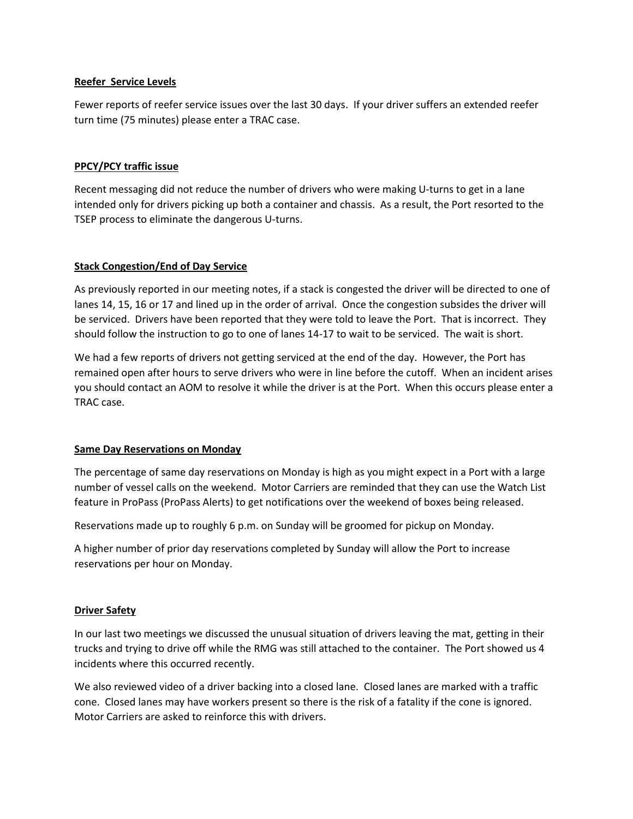#### **Reefer Service Levels**

Fewer reports of reefer service issues over the last 30 days. If your driver suffers an extended reefer turn time (75 minutes) please enter a TRAC case.

#### **PPCY/PCY traffic issue**

Recent messaging did not reduce the number of drivers who were making U-turns to get in a lane intended only for drivers picking up both a container and chassis. As a result, the Port resorted to the TSEP process to eliminate the dangerous U-turns.

#### **Stack Congestion/End of Day Service**

As previously reported in our meeting notes, if a stack is congested the driver will be directed to one of lanes 14, 15, 16 or 17 and lined up in the order of arrival. Once the congestion subsides the driver will be serviced. Drivers have been reported that they were told to leave the Port. That is incorrect. They should follow the instruction to go to one of lanes 14-17 to wait to be serviced. The wait is short.

We had a few reports of drivers not getting serviced at the end of the day. However, the Port has remained open after hours to serve drivers who were in line before the cutoff. When an incident arises you should contact an AOM to resolve it while the driver is at the Port. When this occurs please enter a TRAC case.

#### **Same Day Reservations on Monday**

The percentage of same day reservations on Monday is high as you might expect in a Port with a large number of vessel calls on the weekend. Motor Carriers are reminded that they can use the Watch List feature in ProPass (ProPass Alerts) to get notifications over the weekend of boxes being released.

Reservations made up to roughly 6 p.m. on Sunday will be groomed for pickup on Monday.

A higher number of prior day reservations completed by Sunday will allow the Port to increase reservations per hour on Monday.

#### **Driver Safety**

In our last two meetings we discussed the unusual situation of drivers leaving the mat, getting in their trucks and trying to drive off while the RMG was still attached to the container. The Port showed us 4 incidents where this occurred recently.

We also reviewed video of a driver backing into a closed lane. Closed lanes are marked with a traffic cone. Closed lanes may have workers present so there is the risk of a fatality if the cone is ignored. Motor Carriers are asked to reinforce this with drivers.